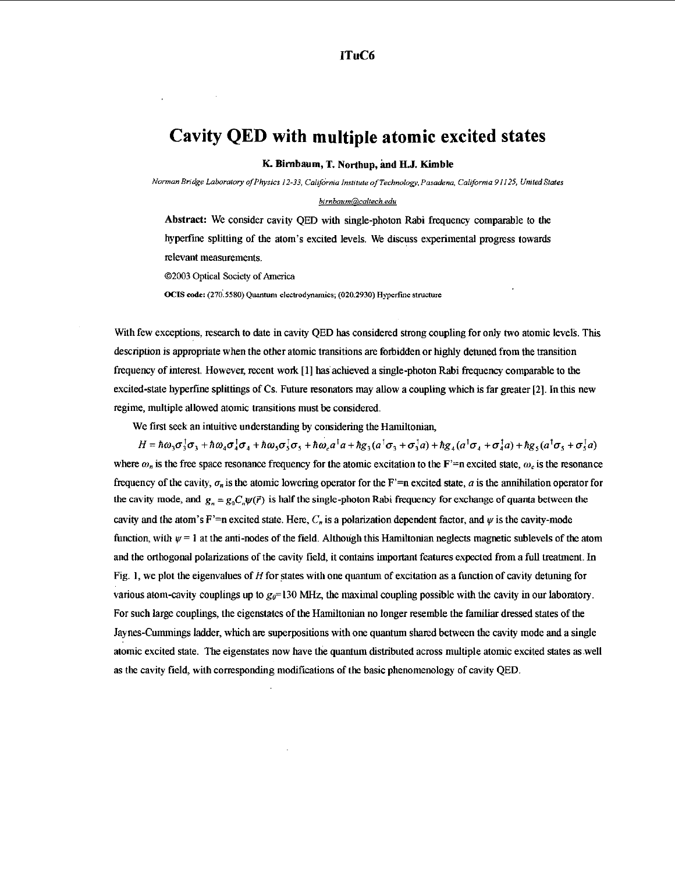## Cavity QED with multiple atomic excited states

K. Birnbaum, T. Northup, and H.J. Kimble

*Norman Bridge Laboratory of Physics 12-33, CalifOrnia Institute of Technology, Pasadena, Callforma 91I25, United States* 

## *[birnbaum@caltech.edu](http://birnboumDcolrech.edu)*

Abstract: We consider cavity QED with single-photon Rabi frequency comparable to the hyperfme splitting of the atom's excited levels. We discuss experimental progress towards relevant measurements.

©2003 Optical Society of America

OCIS code: (270.5580) Quantum electrodynamics; (020.2930) Hyperfine structure

With few exceptions, research to date in cavity QED has considered strong coupling for only two atomic levels. This description is appropriate when the other atomic transitions are forbidden or highly detuned from the transition frequency of interest. However, recent work [I] has. achieved a siugle-photon Rabi frequency comparable to the excited-state hyperfine splittings of Cs. Future resonators may allow a coupling which is far greater [2]. In this new regime, multiple allowed atomic transitions must be considered.

We first seek an intuitive understanding by considering the Hamiltonian,

 $H = \hbar\omega_3\sigma_3^{\dagger}\sigma_3 + \hbar\omega_4\sigma_4^{\dagger}\sigma_4 + \hbar\omega_5\sigma_5^{\dagger}\sigma_5 + \hbar\omega_6a^{\dagger}a + \hbar g_3(a^{\dagger}\sigma_3 + \sigma_3^{\dagger}a) + \hbar g_4(a^{\dagger}\sigma_4 + \sigma_4^{\dagger}a) + \hbar g_5(a^{\dagger}\sigma_5 + \sigma_5^{\dagger}a)$ where  $\omega_n$  is the free space resonance frequency for the atomic excitation to the F<sup>'</sup>=n excited state,  $\omega_c$  is the resonance frequency of the cavity,  $\sigma_n$  is the atomic lowering operator for the F'=n excited state, *a* is the annihilation operator for the cavity mode, and  $g_n = g_0 C_n \psi(\vec{r})$  is half the single-photon Rabi frequency for exchange of quanta between the cavity and the atom's F'=n excited state. Here,  $C_n$  is a polarization dependent factor, and  $\psi$  is the cavity-mode function, with  $\psi = 1$  at the anti-nodes of the field. Although this Hamiltonian neglects magnetic sublevels of the atom and the orthogonal polarizations of the cavity field, it contains important features expected from a full treatment. In Fig. 1, we plot the eigenvalues of H for states with one quantum of excitation as a function of cavity detuning for various atom-cavity couplings up to g*0=130* MHz, the maximal coupling possible with the cavity in our laboratory. For such large couplings, the eigenstates of the Hamiltonian no longer resemble the familiar dressed states of the Jaynes-Cummings ladder, which are superpositions with one quantum shared between the cavity mode and a single atomic excited state. The eigenstates now have the quantum distributed across multiple atomic excited states as.well as the cavity field, with corresponding modifications of the basic phenomenology of cavity QED.